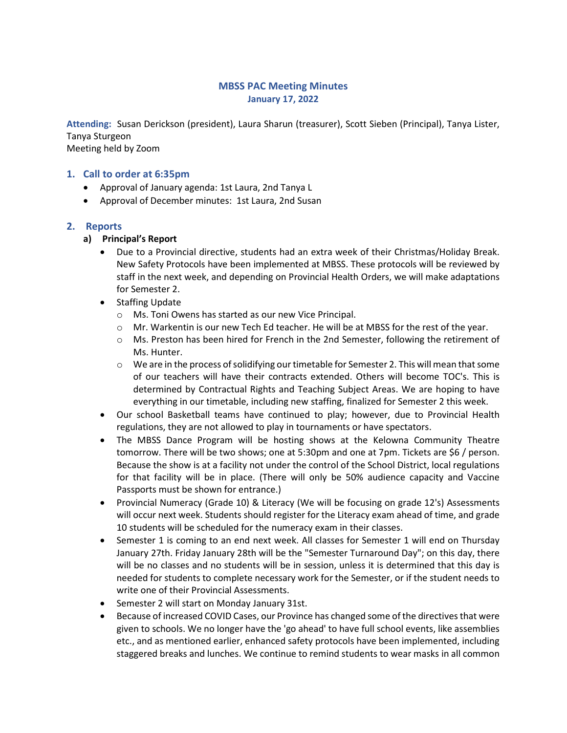### MBSS PAC Meeting Minutes January 17, 2022

Attending: Susan Derickson (president), Laura Sharun (treasurer), Scott Sieben (Principal), Tanya Lister, Tanya Sturgeon Meeting held by Zoom

#### 1. Call to order at 6:35pm

- Approval of January agenda: 1st Laura, 2nd Tanya L
- Approval of December minutes: 1st Laura, 2nd Susan

#### 2. Reports

- a) Principal's Report
	- Due to a Provincial directive, students had an extra week of their Christmas/Holiday Break. New Safety Protocols have been implemented at MBSS. These protocols will be reviewed by staff in the next week, and depending on Provincial Health Orders, we will make adaptations for Semester 2.
	- Staffing Update
		- o Ms. Toni Owens has started as our new Vice Principal.
		- o Mr. Warkentin is our new Tech Ed teacher. He will be at MBSS for the rest of the year.
		- $\circ$  Ms. Preston has been hired for French in the 2nd Semester, following the retirement of Ms. Hunter.
		- $\circ$  We are in the process of solidifying our timetable for Semester 2. This will mean that some of our teachers will have their contracts extended. Others will become TOC's. This is determined by Contractual Rights and Teaching Subject Areas. We are hoping to have everything in our timetable, including new staffing, finalized for Semester 2 this week.
	- Our school Basketball teams have continued to play; however, due to Provincial Health regulations, they are not allowed to play in tournaments or have spectators.
	- The MBSS Dance Program will be hosting shows at the Kelowna Community Theatre tomorrow. There will be two shows; one at 5:30pm and one at 7pm. Tickets are \$6 / person. Because the show is at a facility not under the control of the School District, local regulations for that facility will be in place. (There will only be 50% audience capacity and Vaccine Passports must be shown for entrance.)
	- Provincial Numeracy (Grade 10) & Literacy (We will be focusing on grade 12's) Assessments will occur next week. Students should register for the Literacy exam ahead of time, and grade 10 students will be scheduled for the numeracy exam in their classes.
	- Semester 1 is coming to an end next week. All classes for Semester 1 will end on Thursday January 27th. Friday January 28th will be the "Semester Turnaround Day"; on this day, there will be no classes and no students will be in session, unless it is determined that this day is needed for students to complete necessary work for the Semester, or if the student needs to write one of their Provincial Assessments.
	- Semester 2 will start on Monday January 31st.
	- **Because of increased COVID Cases, our Province has changed some of the directives that were** given to schools. We no longer have the 'go ahead' to have full school events, like assemblies etc., and as mentioned earlier, enhanced safety protocols have been implemented, including staggered breaks and lunches. We continue to remind students to wear masks in all common